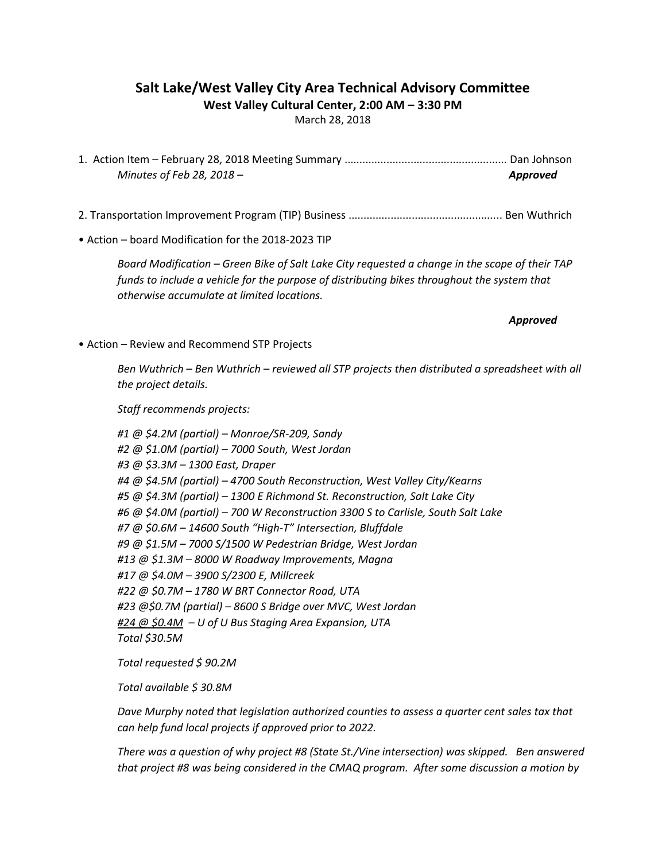#### Salt Lake/West Valley City Area Technical Advisory Committee West Valley Cultural Center, 2:00 AM – 3:30 PM

March 28, 2018

1. Action Item – February 28, 2018 Meeting Summary ...................................................... Dan Johnson Minutes of Feb 28, 2018 – Approved and the state of  $\mathcal{A}$ 

- 2. Transportation Improvement Program (TIP) Business ................................................... Ben Wuthrich
- Action board Modification for the 2018-2023 TIP

Board Modification – Green Bike of Salt Lake City requested a change in the scope of their TAP funds to include a vehicle for the purpose of distributing bikes throughout the system that otherwise accumulate at limited locations.

Approved

• Action – Review and Recommend STP Projects

Ben Wuthrich – Ben Wuthrich – reviewed all STP projects then distributed a spreadsheet with all the project details.

Staff recommends projects:

#1 @ \$4.2M (partial) – Monroe/SR-209, Sandy #2 @ \$1.0M (partial) – 7000 South, West Jordan #3 @ \$3.3M – 1300 East, Draper #4 @ \$4.5M (partial) – 4700 South Reconstruction, West Valley City/Kearns #5 @ \$4.3M (partial) – 1300 E Richmond St. Reconstruction, Salt Lake City #6 @ \$4.0M (partial) – 700 W Reconstruction 3300 S to Carlisle, South Salt Lake #7 @ \$0.6M – 14600 South "High-T" Intersection, Bluffdale #9 @ \$1.5M – 7000 S/1500 W Pedestrian Bridge, West Jordan #13 @ \$1.3M – 8000 W Roadway Improvements, Magna #17 @ \$4.0M – 3900 S/2300 E, Millcreek #22 @ \$0.7M – 1780 W BRT Connector Road, UTA #23 @\$0.7M (partial) – 8600 S Bridge over MVC, West Jordan #24 @ \$0.4M - U of U Bus Staging Area Expansion, UTA Total \$30.5M

Total requested \$ 90.2M

Total available \$ 30.8M

Dave Murphy noted that legislation authorized counties to assess a quarter cent sales tax that can help fund local projects if approved prior to 2022.

There was a question of why project #8 (State St./Vine intersection) was skipped. Ben answered that project #8 was being considered in the CMAQ program. After some discussion a motion by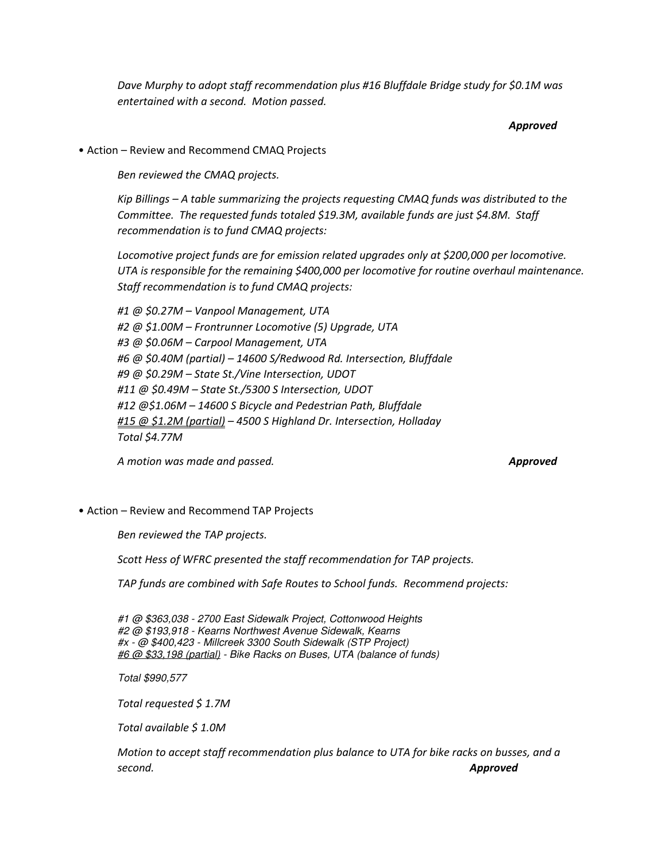Dave Murphy to adopt staff recommendation plus #16 Bluffdale Bridge study for \$0.1M was entertained with a second. Motion passed.

#### Approved

• Action – Review and Recommend CMAQ Projects

Ben reviewed the CMAQ projects.

Kip Billings – A table summarizing the projects requesting CMAQ funds was distributed to the Committee. The requested funds totaled \$19.3M, available funds are just \$4.8M. Staff recommendation is to fund CMAQ projects:

Locomotive project funds are for emission related upgrades only at \$200,000 per locomotive. UTA is responsible for the remaining \$400,000 per locomotive for routine overhaul maintenance. Staff recommendation is to fund CMAQ projects:

#1 @ \$0.27M – Vanpool Management, UTA #2 @ \$1.00M – Frontrunner Locomotive (5) Upgrade, UTA #3 @ \$0.06M – Carpool Management, UTA #6 @ \$0.40M (partial) – 14600 S/Redwood Rd. Intersection, Bluffdale #9 @ \$0.29M – State St./Vine Intersection, UDOT #11 @ \$0.49M – State St./5300 S Intersection, UDOT #12 @\$1.06M – 14600 S Bicycle and Pedestrian Path, Bluffdale #15 @ \$1.2M (partial) - 4500 S Highland Dr. Intersection, Holladay Total \$4.77M

A motion was made and passed. A motion was made and passed.

• Action – Review and Recommend TAP Projects

Ben reviewed the TAP projects.

Scott Hess of WFRC presented the staff recommendation for TAP projects.

TAP funds are combined with Safe Routes to School funds. Recommend projects:

#1 @ \$363,038 - 2700 East Sidewalk Project, Cottonwood Heights #2 @ \$193,918 - Kearns Northwest Avenue Sidewalk, Kearns #x - @ \$400,423 - Millcreek 3300 South Sidewalk (STP Project) #6 @ \$33,198 (partial) - Bike Racks on Buses, UTA (balance of funds)

Total \$990,577

Total requested \$ 1.7M

Total available \$ 1.0M

Motion to accept staff recommendation plus balance to UTA for bike racks on busses, and a second. **Approved**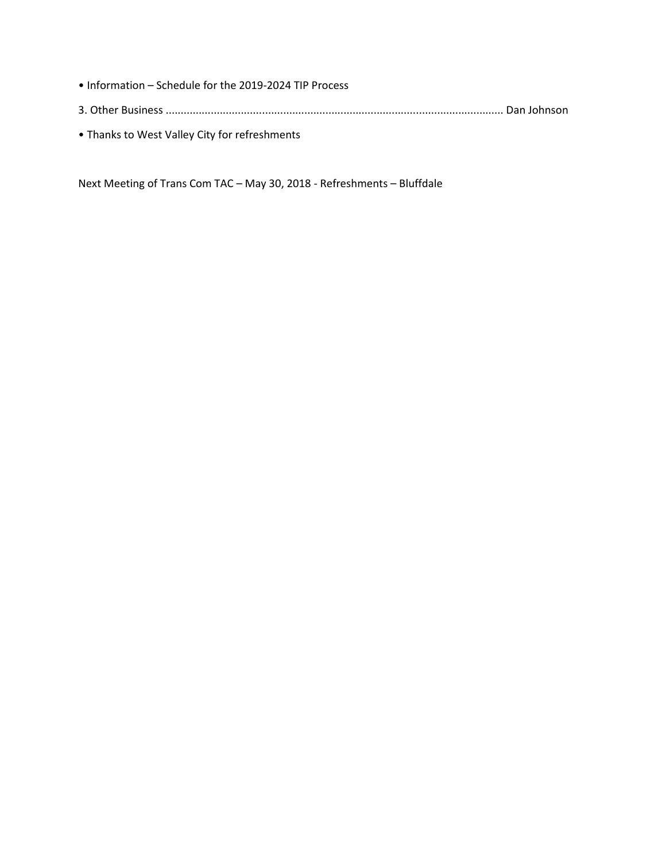- Information Schedule for the 2019-2024 TIP Process 3. Other Business ................................................................................................................ Dan Johnson
- Thanks to West Valley City for refreshments

Next Meeting of Trans Com TAC – May 30, 2018 - Refreshments – Bluffdale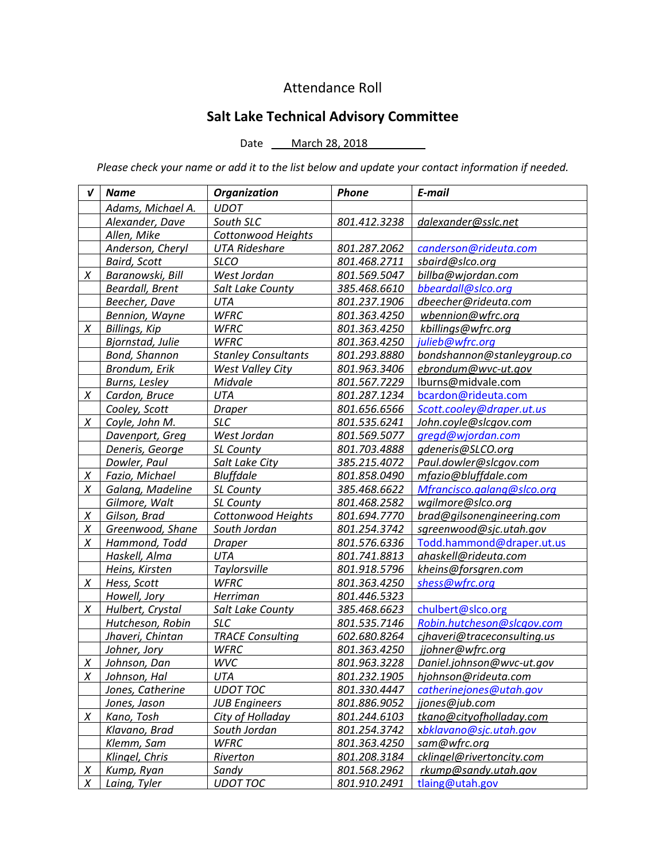# Attendance Roll

# Salt Lake Technical Advisory Committee

### Date \_\_\_ March 28, 2018

Please check your name or add it to the list below and update your contact information if needed.

| V      | <b>Name</b>          | <b>Organization</b>        | Phone        | E-mail                      |
|--------|----------------------|----------------------------|--------------|-----------------------------|
|        | Adams, Michael A.    | <b>UDOT</b>                |              |                             |
|        | Alexander, Dave      | South SLC                  | 801.412.3238 | dalexander@sslc.net         |
|        | Allen, Mike          | <b>Cottonwood Heights</b>  |              |                             |
|        | Anderson, Cheryl     | <b>UTA Rideshare</b>       | 801.287.2062 | canderson@rideuta.com       |
|        | <b>Baird, Scott</b>  | <b>SLCO</b>                | 801.468.2711 | sbaird@slco.org             |
| X      | Baranowski, Bill     | West Jordan                | 801.569.5047 | billba@wjordan.com          |
|        | Beardall, Brent      | Salt Lake County           | 385.468.6610 | bbeardall@slco.org          |
|        | Beecher, Dave        | UTA                        | 801.237.1906 | dbeecher@rideuta.com        |
|        | Bennion, Wayne       | <b>WFRC</b>                | 801.363.4250 | wbennion@wfrc.org           |
| X      | <b>Billings, Kip</b> | <b>WFRC</b>                | 801.363.4250 | kbillings@wfrc.org          |
|        | Bjornstad, Julie     | <b>WFRC</b>                | 801.363.4250 | julieb@wfrc.org             |
|        | Bond, Shannon        | <b>Stanley Consultants</b> | 801.293.8880 | bondshannon@stanleygroup.co |
|        | Brondum, Erik        | <b>West Valley City</b>    | 801.963.3406 | ebrondum@wvc-ut.gov         |
|        | Burns, Lesley        | Midvale                    | 801.567.7229 | lburns@midvale.com          |
| X      | Cardon, Bruce        | UTA                        | 801.287.1234 | bcardon@rideuta.com         |
|        | Cooley, Scott        | <b>Draper</b>              | 801.656.6566 | Scott.cooley@draper.ut.us   |
| X      | Coyle, John M.       | <b>SLC</b>                 | 801.535.6241 | John.coyle@slcgov.com       |
|        | Davenport, Greg      | West Jordan                | 801.569.5077 | gregd@wjordan.com           |
|        | Deneris, George      | SL County                  | 801.703.4888 | gdeneris@SLCO.org           |
|        | Dowler, Paul         | Salt Lake City             | 385.215.4072 | Paul.dowler@slcgov.com      |
| X      | Fazio, Michael       | <b>Bluffdale</b>           | 801.858.0490 | mfazio@bluffdale.com        |
| X      | Galang, Madeline     | <b>SL County</b>           | 385.468.6622 | Mfrancisco.galang@slco.org  |
|        | Gilmore, Walt        | SL County                  | 801.468.2582 | wgilmore@slco.org           |
| $\chi$ | Gilson, Brad         | <b>Cottonwood Heights</b>  | 801.694.7770 | brad@gilsonengineering.com  |
| Χ      | Greenwood, Shane     | South Jordan               | 801.254.3742 | sgreenwood@sjc.utah.gov     |
| Χ      | Hammond, Todd        | <b>Draper</b>              | 801.576.6336 | Todd.hammond@draper.ut.us   |
|        | Haskell, Alma        | UTA                        | 801.741.8813 | ahaskell@rideuta.com        |
|        | Heins, Kirsten       | Taylorsville               | 801.918.5796 | kheins@forsgren.com         |
| X      | Hess, Scott          | <b>WFRC</b>                | 801.363.4250 | shess@wfrc.org              |
|        | Howell, Jory         | Herriman                   | 801.446.5323 |                             |
| X      | Hulbert, Crystal     | Salt Lake County           | 385.468.6623 | chulbert@slco.org           |
|        | Hutcheson, Robin     | <b>SLC</b>                 | 801.535.7146 | Robin.hutcheson@slcqov.com  |
|        | Jhaveri, Chintan     | <b>TRACE Consulting</b>    | 602.680.8264 | cjhaveri@traceconsulting.us |
|        | Johner, Jory         | <b>WFRC</b>                | 801.363.4250 | jjohner@wfrc.org            |
| $\chi$ | Johnson, Dan         | WVC                        | 801.963.3228 | Daniel.johnson@wvc-ut.gov   |
| Χ      | Johnson, Hal         | UTA                        | 801.232.1905 | hjohnson@rideuta.com        |
|        | Jones, Catherine     | <b>UDOT TOC</b>            | 801.330.4447 | catherinejones@utah.gov     |
|        | Jones, Jason         | <b>JUB Engineers</b>       | 801.886.9052 | jjones@jub.com              |
| X      | Kano, Tosh           | City of Holladay           | 801.244.6103 | tkano@cityofholladay.com    |
|        | Klavano, Brad        | South Jordan               | 801.254.3742 | xbklavano@sjc.utah.gov      |
|        | Klemm, Sam           | <b>WFRC</b>                | 801.363.4250 | sam@wfrc.org                |
|        | Klingel, Chris       | Riverton                   | 801.208.3184 | cklingel@rivertoncity.com   |
| $\chi$ | Kump, Ryan           | Sandy                      | 801.568.2962 | rkump@sandy.utah.gov        |
| Χ      | Laing, Tyler         | <b>UDOT TOC</b>            | 801.910.2491 | tlaing@utah.gov             |